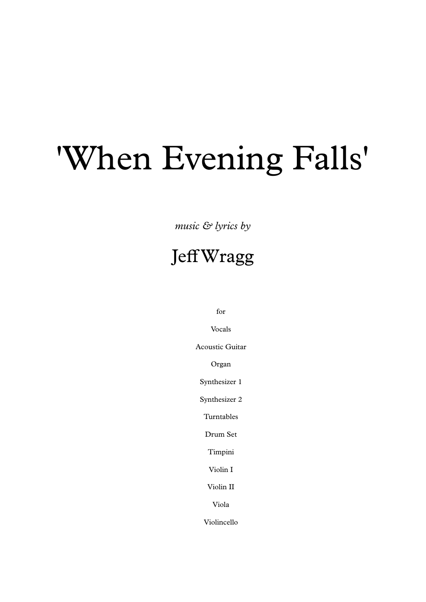## 'When Evening Falls'

*music & lyrics by*

## JeffWragg

for

Vocals

Acoustic Guitar

Organ

Synthesizer 1

Synthesizer 2

Turntables

Drum Set

Timpini

Violin I

Violin II

Viola

Violincello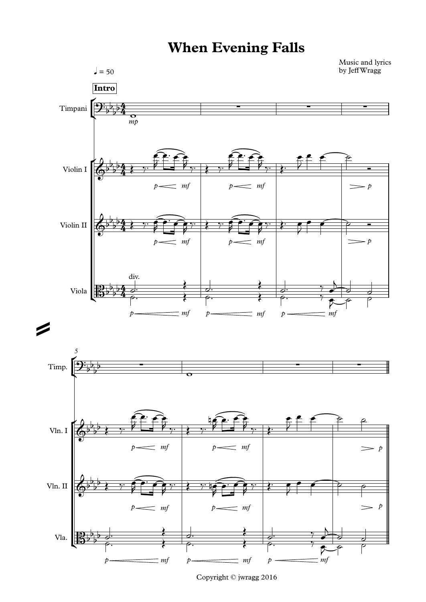## **When Evening Falls**



Copyright © jwragg 2016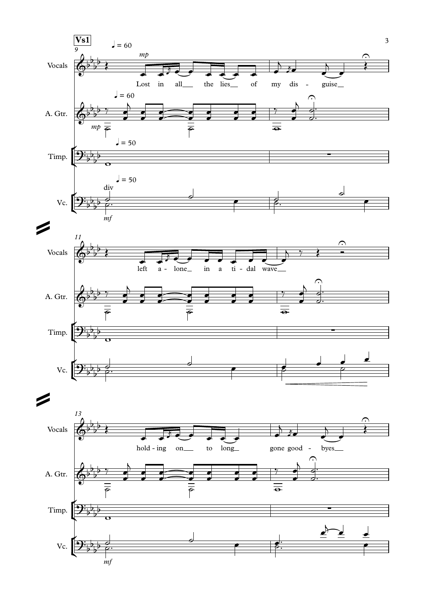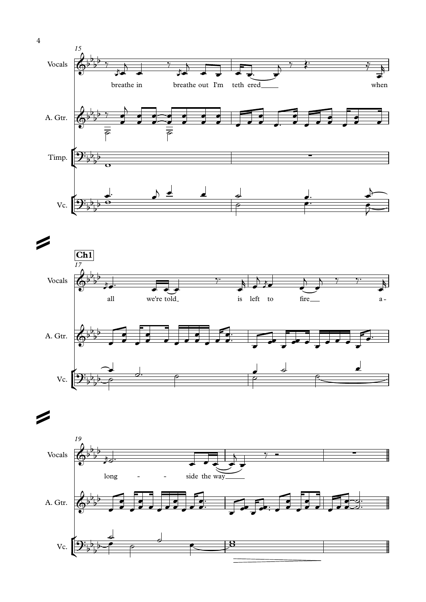



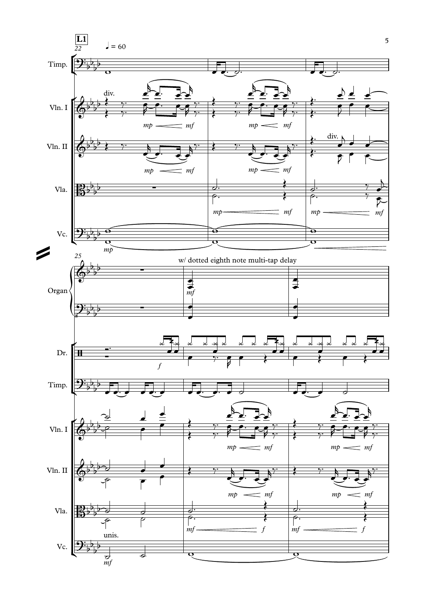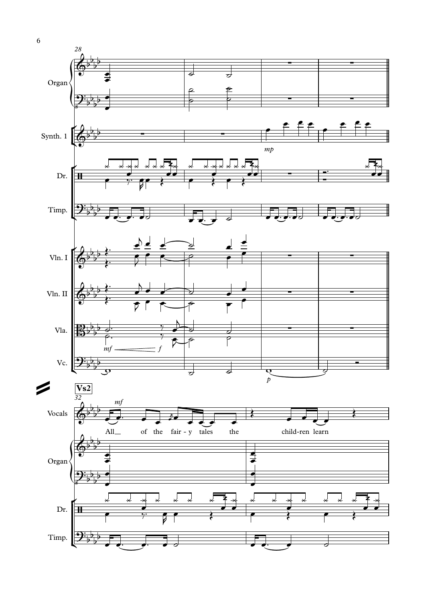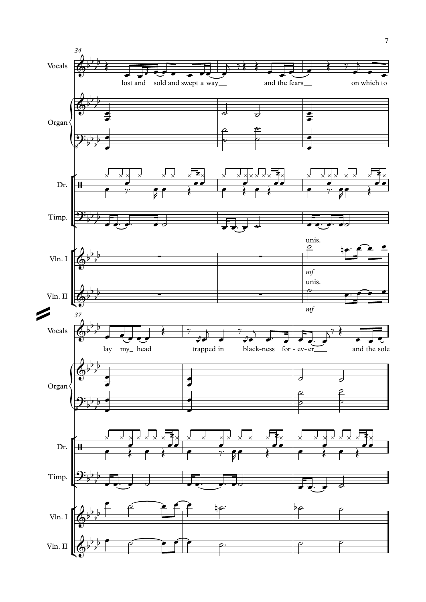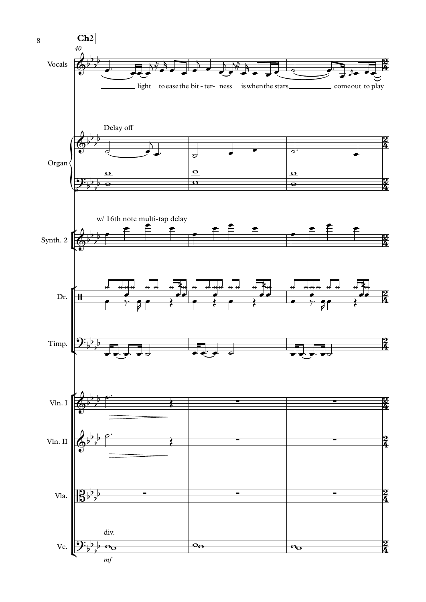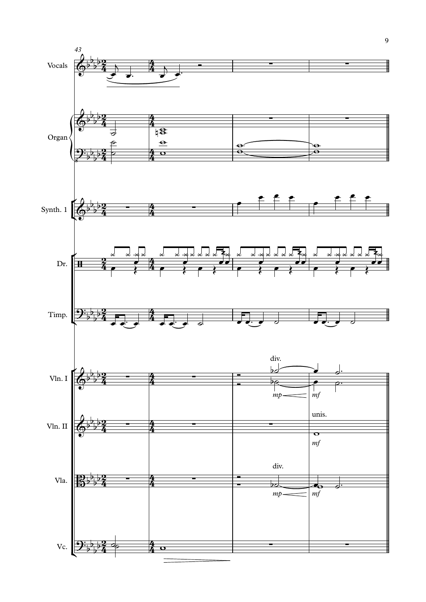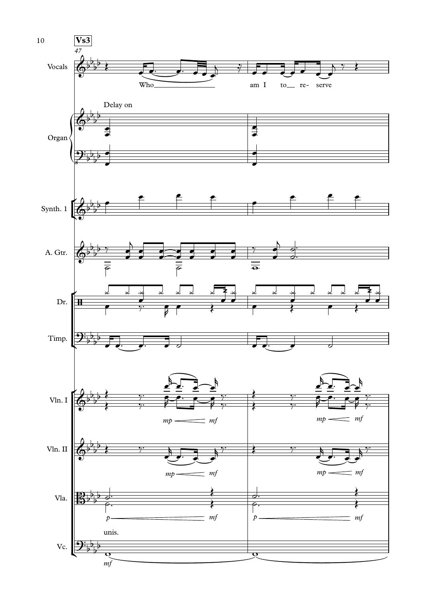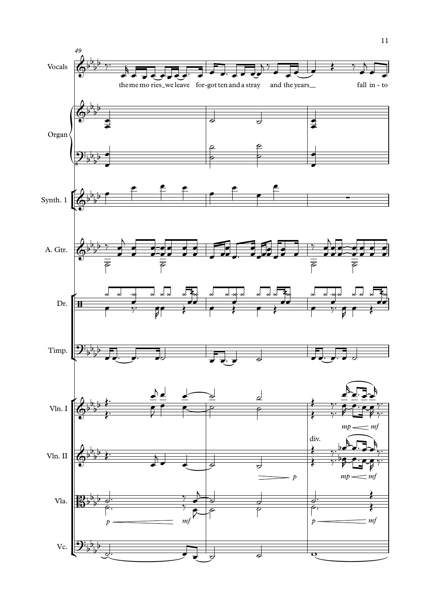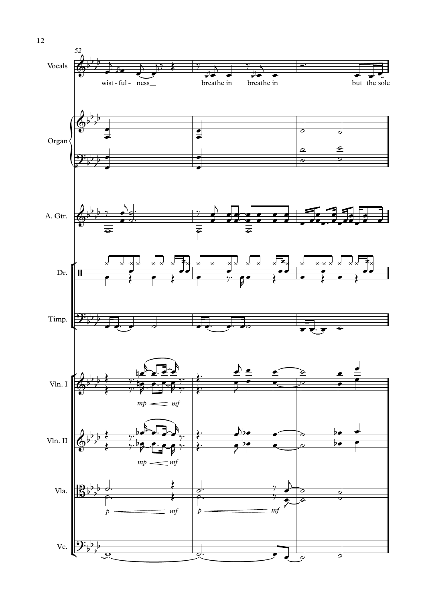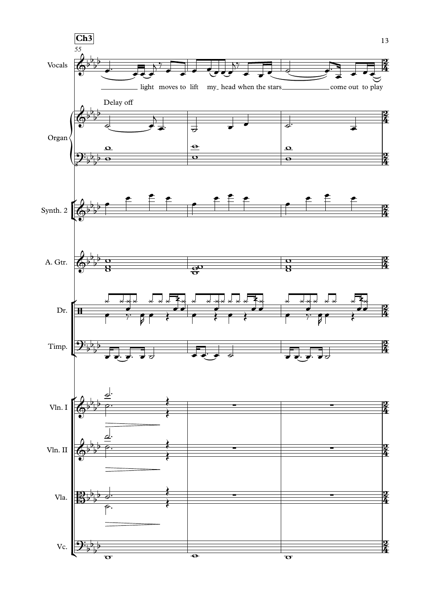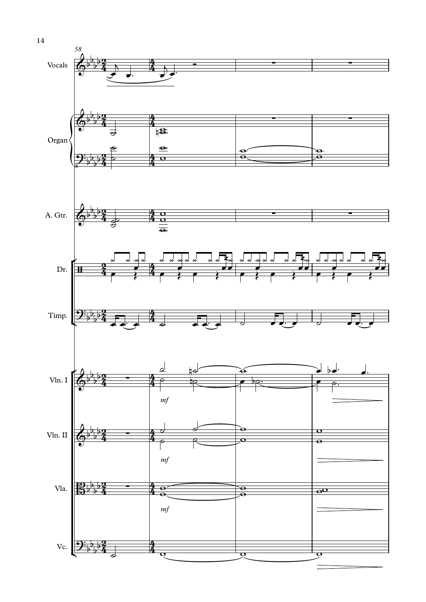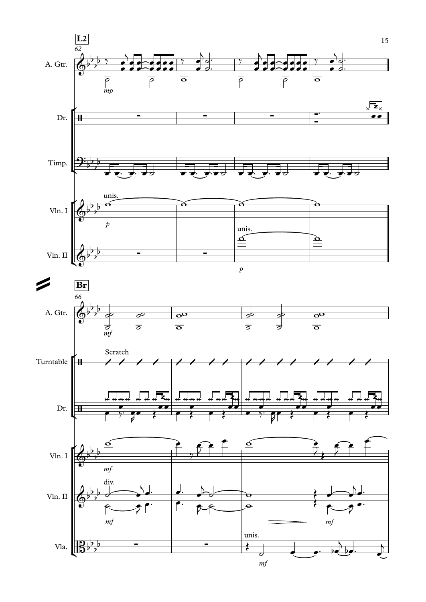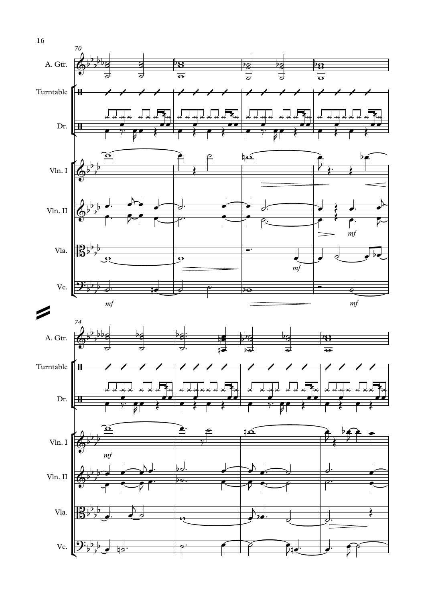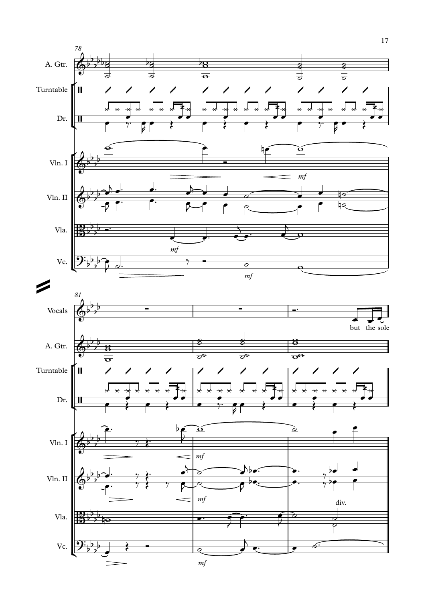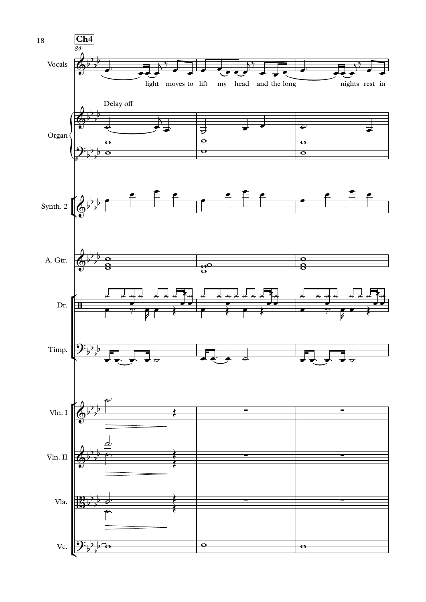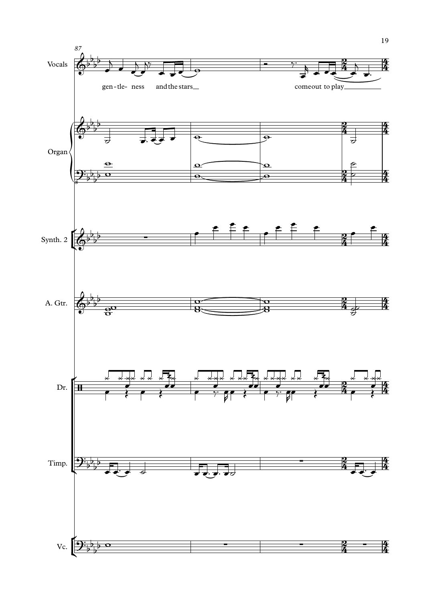